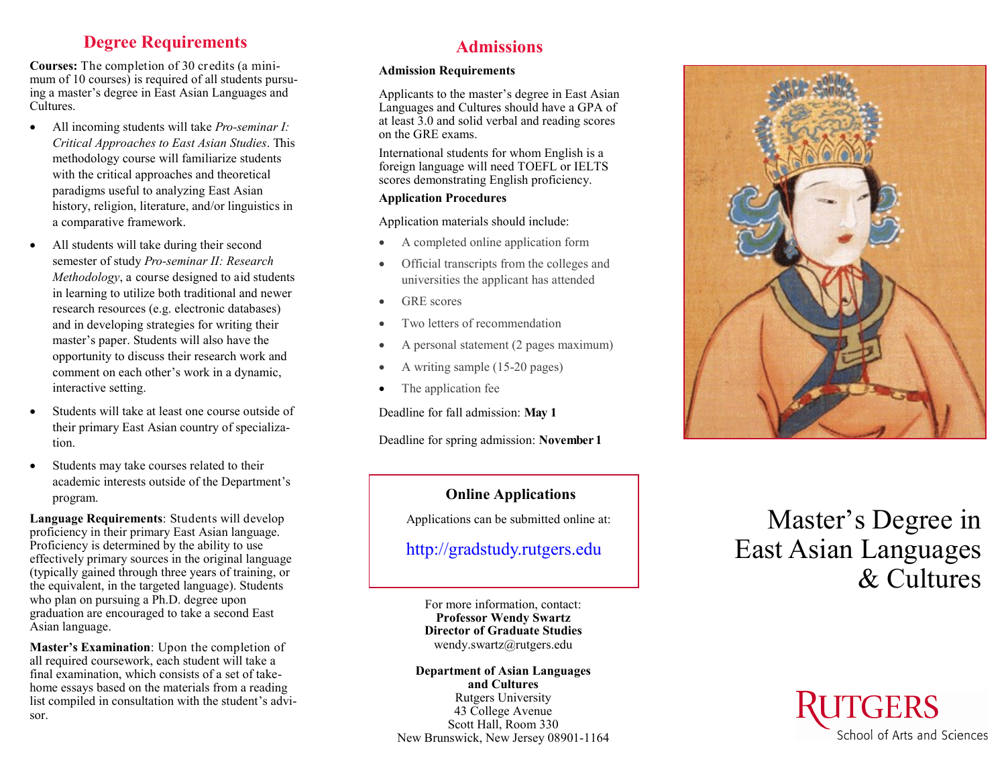# **Degree Requirements**

**Courses:** The completion of 30 credits (a minimum of 10 courses) is required of all students pursuing a master's degree in East Asian Languages and Cultures.

- All incoming students will take *Pro-seminar I: Critical Approaches to East Asian Studies*. This methodology course will familiarize students with the critical approaches and theoretical paradigms useful to analyzing East Asian history, religion, literature, and/or linguistics in a comparative framework.
- All students will take during their second semester of study *Pro -seminar II: Research Methodology*, a course designed to aid students in learning to utilize both traditional and newer research resources (e.g. electronic databases) and in developing strategies for writing their master 's paper. Students will also have the opportunity to discuss their research work and comment on each other 's work in a dynamic, interactive setting.
- Students will take at least one course outside of their primary East Asian country of specialization.
- Students may take courses related to their academic interests outside of the Department 's program.

**Language Requirements**: Students will develop proficiency in their primary East Asian language. Proficiency is determined by the ability to use effectively primary sources in the original language (typically gained through three years of training, or the equivalent, in the targeted language). Students who plan on pursuing a Ph.D. degree upon graduation are encouraged to take a second East Asian language.

**Master 's Examination**: Upon the completion of all required coursework, each student will take a final examination, which consists of a set of take home essays based on the materials from a reading list compiled in consultation with the student 's advisor.

# **Admissions**

#### **Admission Requirements**

Applicants to the master 's degree in East Asian Languages and Cultures should have a GPA of at least 3.0 and solid verbal and reading scores on the GRE exams.

International students for whom English is a foreign language will need TOEFL or IELTS scores demonstrating English proficiency.

### **Application Procedures**

Application materials should include:

- A completed online application form
- Official transcripts from the colleges and universities the applicant has attended
- GRE scores
- Two letters of recommendation
- A personal statement (2 pages maximum)
- A writing sample (15-20 pages)
- The application fee

Deadline for fall admission: **May 1**

Deadline for spring admission: **November 1**

## **Online Applications**

Applications can be submitted online at:

# http://gradstudy.rutgers.edu

For more information, contact: **Professor Wendy Swartz Director of Graduate Studies** wendy.swartz@rutgers.edu

**Department of Asian Languages and Cultures** Rutgers University 43 College Avenue Scott Hall, Room 330 New Brunswick, New Jersey 08901 -1164



# Master 's Degree in East Asian Languages & Cultures